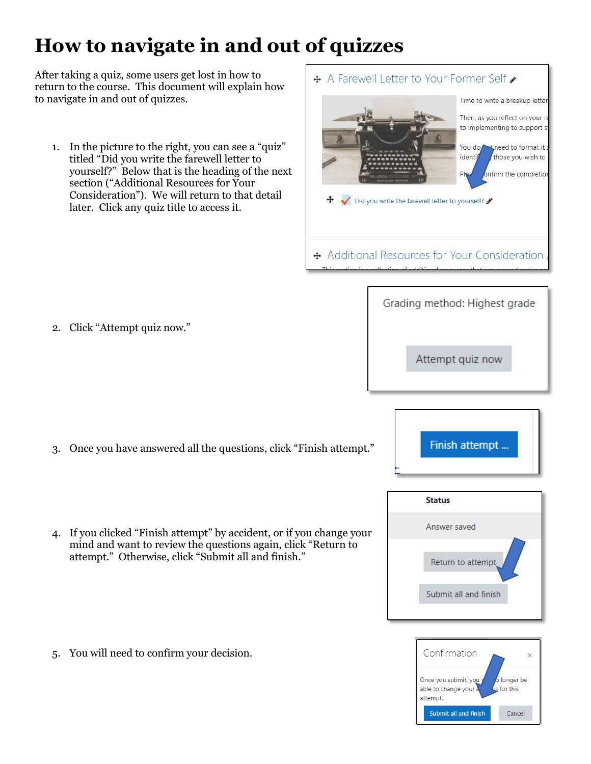## **How to navigate in and out of quizzes**

After taking a quiz, some users get lost in how to return to the course. This document will explain how to navigate in and out of quizzes.

1. In the picture to the right, you can see a "quiz" titled "Did you write the farewell letter to yourself?" Below that is the heading of the next section ("Additional Resources for Your Consideration"). We will return to that detail later. Click any quiz title to access it.

2. Click "Attempt quiz now."

3. Once you have answered all the questions, click "Finish attempt."

4. If you clicked "Finish attempt" by accident, or if you change your mind and want to review the questions again, click "Return to attempt." Otherwise, click "Submit all and finish."

5. You will need to confirm your decision.





Grading method: Highest grade